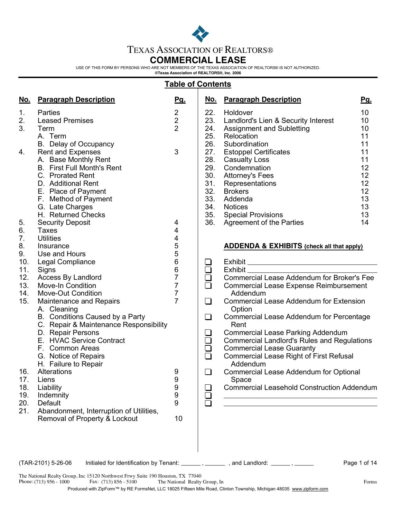

# TEXAS ASSOCIATION OF REALTORS®

## **COMMERCIAL LEASE**

USE OF THIS FORM BY PERSONS WHO ARE NOT MEMBERS OF THE TEXAS ASSOCIATION OF REALTORS® IS NOT AUTHORIZED.

**©Texas Association of REALTORS®, Inc. 2006**

| <u>No.</u><br>1.<br>2.<br>3.<br>4.<br>5.<br>6.<br>7.<br>8.<br>9.<br>10.<br>11.<br>12.<br>13.<br>14.<br>15.<br>16.<br>17.<br>18.<br>19.<br>20.<br>21. | <b>Paragraph Description</b><br><b>Parties</b><br><b>Leased Premises</b><br>Term<br>A. Term<br>B. Delay of Occupancy<br>Rent and Expenses<br>A. Base Monthly Rent<br><b>B.</b> First Full Month's Rent<br>C. Prorated Rent<br>D. Additional Rent<br>E. Place of Payment<br>F. Method of Payment<br>G. Late Charges<br>H. Returned Checks<br><b>Security Deposit</b><br><b>Taxes</b><br><b>Utilities</b><br>Insurance<br>Use and Hours<br>Legal Compliance<br>Signs<br><b>Access By Landlord</b><br><b>Move-In Condition</b><br>Move-Out Condition<br>Maintenance and Repairs<br>A. Cleaning<br>B. Conditions Caused by a Party<br>C. Repair & Maintenance Responsibility<br>D. Repair Persons<br>E. HVAC Service Contract<br>F. Common Areas<br>G. Notice of Repairs<br>H. Failure to Repair<br>Alterations<br>Liens<br>Liability<br>Indemnity<br>Default<br>Abandonment, Interruption of Utilities,<br>Removal of Property & Lockout | <u>Pg.</u><br>$\overline{\mathbf{c}}$<br>$\frac{2}{2}$<br>3<br>4<br>4<br>4<br>5<br>5<br>$\,6$<br>6<br>7<br>$\overline{7}$<br>7<br>$\overline{7}$<br>9<br>a<br>9<br>9<br>9<br>10 | <u>No.</u><br>22.<br>23.<br>24.<br>25.<br>26.<br>27.<br>28.<br>29.<br>30.<br>31.<br>32.<br>33.<br>34.<br>35.<br>36.<br>⊔<br>$\Box$<br>$\Box$<br>$\Box$<br>❏<br>$\Box$<br>⊔<br>$\Box$<br>$\Box$<br>$\Box$<br>❏ | <b>Paragraph Description</b><br>Holdover<br>Landlord's Lien & Security Interest<br>Assignment and Subletting<br>Relocation<br>Subordination<br><b>Estoppel Certificates</b><br><b>Casualty Loss</b><br>Condemnation<br><b>Attorney's Fees</b><br>Representations<br><b>Brokers</b><br>Addenda<br><b>Notices</b><br><b>Special Provisions</b><br><b>Agreement of the Parties</b><br><b>ADDENDA &amp; EXHIBITS (check all that apply)</b><br>Exhibit<br>Commercial Lease Addendum for Broker's Fee<br><b>Commercial Lease Expense Reimbursement</b><br>Addendum<br><b>Commercial Lease Addendum for Extension</b><br>Option<br><b>Commercial Lease Addendum for Percentage</b><br>Rent<br><b>Commercial Lease Parking Addendum</b><br><b>Commercial Landlord's Rules and Regulations</b><br><b>Commercial Lease Guaranty</b><br><b>Commercial Lease Right of First Refusal</b><br>Addendum<br>Commercial Lease Addendum for Optional<br>Space<br><b>Commercial Leasehold Construction Addendum</b><br>and the control of the control of the control of the control of the control of the control of the control of the<br><u> 1990 - Johann Barbara, martin a</u> | <u>Pg.</u><br>10<br>10<br>10<br>11<br>11<br>11<br>11<br>12<br>12<br>12<br>12<br>13<br>13<br>13<br>14 |
|------------------------------------------------------------------------------------------------------------------------------------------------------|---------------------------------------------------------------------------------------------------------------------------------------------------------------------------------------------------------------------------------------------------------------------------------------------------------------------------------------------------------------------------------------------------------------------------------------------------------------------------------------------------------------------------------------------------------------------------------------------------------------------------------------------------------------------------------------------------------------------------------------------------------------------------------------------------------------------------------------------------------------------------------------------------------------------------------------|---------------------------------------------------------------------------------------------------------------------------------------------------------------------------------|---------------------------------------------------------------------------------------------------------------------------------------------------------------------------------------------------------------|-----------------------------------------------------------------------------------------------------------------------------------------------------------------------------------------------------------------------------------------------------------------------------------------------------------------------------------------------------------------------------------------------------------------------------------------------------------------------------------------------------------------------------------------------------------------------------------------------------------------------------------------------------------------------------------------------------------------------------------------------------------------------------------------------------------------------------------------------------------------------------------------------------------------------------------------------------------------------------------------------------------------------------------------------------------------------------------------------------------------------------------------------------------------|------------------------------------------------------------------------------------------------------|
|                                                                                                                                                      |                                                                                                                                                                                                                                                                                                                                                                                                                                                                                                                                                                                                                                                                                                                                                                                                                                                                                                                                       |                                                                                                                                                                                 |                                                                                                                                                                                                               |                                                                                                                                                                                                                                                                                                                                                                                                                                                                                                                                                                                                                                                                                                                                                                                                                                                                                                                                                                                                                                                                                                                                                                 |                                                                                                      |
|                                                                                                                                                      |                                                                                                                                                                                                                                                                                                                                                                                                                                                                                                                                                                                                                                                                                                                                                                                                                                                                                                                                       |                                                                                                                                                                                 |                                                                                                                                                                                                               |                                                                                                                                                                                                                                                                                                                                                                                                                                                                                                                                                                                                                                                                                                                                                                                                                                                                                                                                                                                                                                                                                                                                                                 |                                                                                                      |

## **Table of Contents**

The National Realty Group, Inc 15120 Northwest Frwy Suite 190 Houston, TX 77040 Fax:  $(713) 856 - 5100$  The National Realty Group, In Forms

 $\sim$ 

Produced with ZipForm™ by RE FormsNet, LLC 18025 Fifteen Mile Road, Clinton Township, Michigan 48035 www.zipform.com

Phone:  $(713)$  956 - 1000

TAR-2101) 5-26-06 Initialed for Identification by Tenant: \_\_\_\_\_\_, \_\_\_\_\_\_\_, and Landlord: \_\_\_\_\_\_, \_\_\_\_\_\_ Page 1 of 14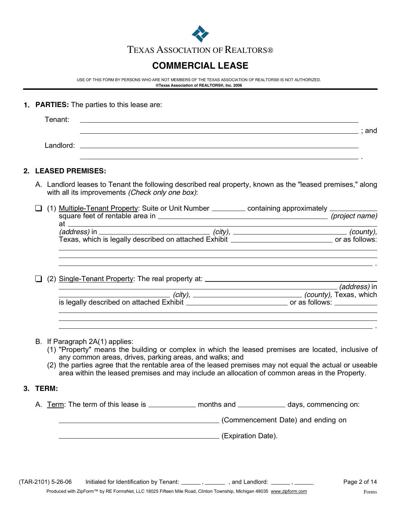

TEXAS ASSOCIATION OF REALTORS®

## **COMMERCIAL LEASE**

USE OF THIS FORM BY PERSONS WHO ARE NOT MEMBERS OF THE TEXAS ASSOCIATION OF REALTORS® IS NOT AUTHORIZED. **©Texas Association of REALTORS®, Inc. 2006**

## **1. PARTIES:** The parties to this lease are:

| Tenant: | <u> 1989 - Johann Barn, mars ann an t-Amhainn an t-Amhainn an t-Amhainn an t-Amhainn an t-Amhainn an t-Amhainn an</u>                                                                                                                                                                                                                                                       |  |
|---------|-----------------------------------------------------------------------------------------------------------------------------------------------------------------------------------------------------------------------------------------------------------------------------------------------------------------------------------------------------------------------------|--|
|         |                                                                                                                                                                                                                                                                                                                                                                             |  |
|         | 2. LEASED PREMISES:                                                                                                                                                                                                                                                                                                                                                         |  |
|         | A. Landlord leases to Tenant the following described real property, known as the "leased premises," along<br>with all its improvements (Check only one box):                                                                                                                                                                                                                |  |
|         | (1) Multiple-Tenant Property: Suite or Unit Number __________ containing approximately ___________<br>Texas, which is legally described on attached Exhibit _________________________________ or as follows:<br>,我们也不能在这里的时候,我们也不能在这里的时候,我们也不能会在这里的时候,我们也不能会在这里的时候,我们也不能会在这里的时候,我们也不能会在这里的时候,我们也                                                                            |  |
|         | <u>. A strong part of the strong part of the strong part of the strong part of the strong part of the strong part of the strong part of the strong part of the strong part of the strong part of the strong part of the strong p</u><br>(county), Texas, which<br>is legally described on attached Exhibit __________________________________ or as follows: ______________ |  |
|         | ,我们也不会有什么。""我们的人,我们也不会有什么?""我们的人,我们也不会有什么?""我们的人,我们也不会有什么?""我们的人,我们也不会有什么?""我们的人<br>的,我们也不会有什么。""我们的人,我们也不会有什么?""我们的人,我们也不会有什么?""我们的人,我们也不会有什么?""我们的人,我们也不会有什么?""我们的<br>B. If Paragraph 2A(1) applies:<br>(1) "Property" means the building or complex in which the leased premises are located, inclusive of<br>any common areas, drives, parking areas, and walks; and    |  |

(2) the parties agree that the rentable area of the leased premises may not equal the actual or useable area within the leased premises and may include an allocation of common areas in the Property.

## **3. TERM:**

A. Term: The term of this lease is \_\_\_\_\_\_\_\_\_\_\_\_ months and \_\_\_\_\_\_\_\_\_\_\_\_\_ days, commencing on:

(Commencement Date) and ending on

(Expiration Date).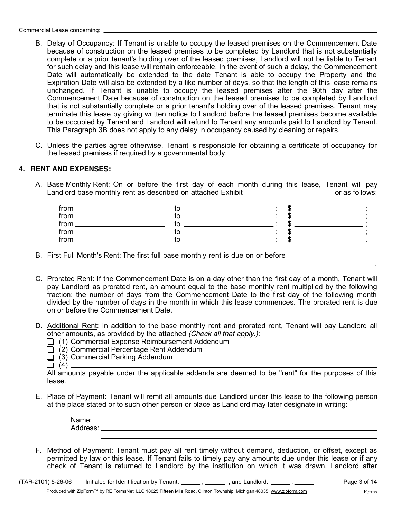Commercial Lease concerning:

- B. Delay of Occupancy: If Tenant is unable to occupy the leased premises on the Commencement Date because of construction on the leased premises to be completed by Landlord that is not substantially complete or a prior tenant's holding over of the leased premises, Landlord will not be liable to Tenant for such delay and this lease will remain enforceable. In the event of such a delay, the Commencement Date will automatically be extended to the date Tenant is able to occupy the Property and the Expiration Date will also be extended by a like number of days, so that the length of this lease remains unchanged. If Tenant is unable to occupy the leased premises after the 90th day after the Commencement Date because of construction on the leased premises to be completed by Landlord that is not substantially complete or a prior tenant's holding over of the leased premises, Tenant may terminate this lease by giving written notice to Landlord before the leased premises become available to be occupied by Tenant and Landlord will refund to Tenant any amounts paid to Landlord by Tenant. This Paragraph 3B does not apply to any delay in occupancy caused by cleaning or repairs.
- C. Unless the parties agree otherwise, Tenant is responsible for obtaining a certificate of occupancy for the leased premises if required by a governmental body.

### **4. RENT AND EXPENSES:**

A. Base Monthly Rent: On or before the first day of each month during this lease, Tenant will pay Landlord base monthly rent as described on attached Exhibit **contained** or as follows:

| from | ື |  |
|------|---|--|
| from |   |  |
| from |   |  |
| from |   |  |
| from |   |  |

- B. First Full Month's Rent: The first full base monthly rent is due on or before \_\_\_\_\_\_\_\_\_\_\_\_\_\_\_\_\_\_\_
- C. Prorated Rent: If the Commencement Date is on a day other than the first day of a month, Tenant will pay Landlord as prorated rent, an amount equal to the base monthly rent multiplied by the following fraction: the number of days from the Commencement Date to the first day of the following month divided by the number of days in the month in which this lease commences. The prorated rent is due on or before the Commencement Date.
- D. Additional Rent: In addition to the base monthly rent and prorated rent, Tenant will pay Landlord all other amounts, as provided by the attached *(Check all that apply.)*:
	- (1) Commercial Expense Reimbursement Addendum
	- $\Box$  (2) Commercial Percentage Rent Addendum
	- $\Box$  (3) Commercial Parking Addendum
	- $\Box$  (4)  $\Box$

All amounts payable under the applicable addenda are deemed to be ''rent" for the purposes of this lease.

E. Place of Payment: Tenant will remit all amounts due Landlord under this lease to the following person at the place stated or to such other person or place as Landlord may later designate in writing:

| Name:    |  |
|----------|--|
| Address: |  |
|          |  |

F. Method of Payment: Tenant must pay all rent timely without demand, deduction, or offset, except as permitted by law or this lease. If Tenant fails to timely pay any amounts due under this lease or if any check of Tenant is returned to Landlord by the institution on which it was drawn, Landlord after

(TAR-2101) 5-26-06 Initialed for Identification by Tenant: , , , , , , and Landlord: , , , , , , , , , , , Page 3 of 14

.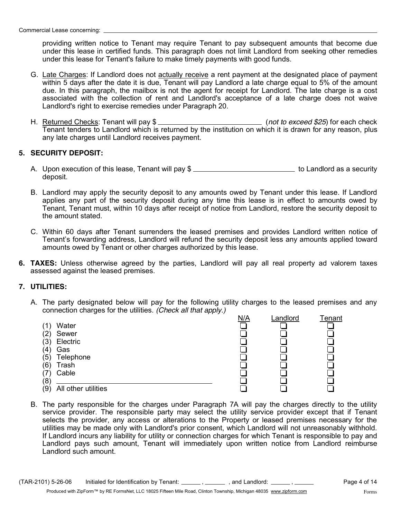providing written notice to Tenant may require Tenant to pay subsequent amounts that become due under this lease in certified funds. This paragraph does not limit Landlord from seeking other remedies under this lease for Tenant's failure to make timely payments with good funds.

- G. Late Charges: If Landlord does not actually receive a rent payment at the designated place of payment within 5 days after the date it is due, Tenant will pay Landlord a late charge equal to 5% of the amount due. In this paragraph, the mailbox is not the agent for receipt for Landlord. The late charge is a cost associated with the collection of rent and Landlord's acceptance of a late charge does not waive Landlord's right to exercise remedies under Paragraph 20.
- H. Returned Checks: Tenant will pay \$ Tenant tenders to Landlord which is returned by the institution on which it is drawn for any reason, plus any late charges until Landlord receives payment. (*not to exceed \$25*) for each check

### **5. SECURITY DEPOSIT:**

- deposit. A. Upon execution of this lease, Tenant will pay \$ 1.000 millong the Landlord as a security
- B. Landlord may apply the security deposit to any amounts owed by Tenant under this lease. If Landlord applies any part of the security deposit during any time this lease is in effect to amounts owed by Tenant, Tenant must, within 10 days after receipt of notice from Landlord, restore the security deposit to the amount stated.
- C. Within 60 days after Tenant surrenders the leased premises and provides Landlord written notice of Tenant's forwarding address, Landlord will refund the security deposit less any amounts applied toward amounts owed by Tenant or other charges authorized by this lease.
- **TAXES:** Unless otherwise agreed by the parties, Landlord will pay all real property ad valorem taxes **6.** assessed against the leased premises.

#### **7. UTILITIES:**

A. The party designated below will pay for the following utility charges to the leased premises and any connection charges for the utilities. *(Check all that apply.)*

|                   |                     | N/A | Landlord | Tenant |
|-------------------|---------------------|-----|----------|--------|
|                   | Water               |     |          |        |
| $\left( 2\right)$ | Sewer               |     |          |        |
| (3)               | Electric            |     |          |        |
| (4)               | Gas                 |     |          |        |
| (5)               | Telephone           |     |          |        |
| (6)               | Trash               |     |          |        |
|                   | Cable               |     |          |        |
| (8)               |                     |     |          |        |
| (9)               | All other utilities |     |          |        |

B. The party responsible for the charges under Paragraph 7A will pay the charges directly to the utility service provider. The responsible party may select the utility service provider except that if Tenant selects the provider, any access or alterations to the Property or leased premises necessary for the utilities may be made only with Landlord's prior consent, which Landlord will not unreasonably withhold. If Landlord incurs any liability for utility or connection charges for which Tenant is responsible to pay and Landlord pays such amount, Tenant will immediately upon written notice from Landlord reimburse Landlord such amount.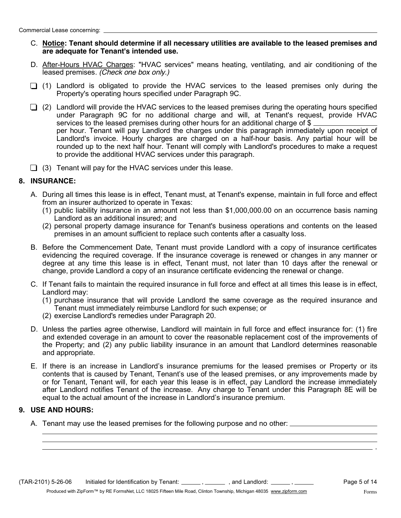## C. **Notice: Tenant should determine if all necessary utilities are available to the leased premises and are adequate for Tenant's intended use.**

- D. After-Hours HVAC Charges: "HVAC services" means heating, ventilating, and air conditioning of the leased premises. *(Check one box only.)*
- Landlord is obligated to provide the HVAC services to the leased premises only during the (1) Property's operating hours specified under Paragraph 9C.
- $\Box$  (2) Landlord will provide the HVAC services to the leased premises during the operating hours specified under Paragraph 9C for no additional charge and will, at Tenant's request, provide HVAC services to the leased premises during other hours for an additional charge of \$ per hour. Tenant will pay Landlord the charges under this paragraph immediately upon receipt of Landlord's invoice. Hourly charges are charged on a half-hour basis. Any partial hour will be rounded up to the next half hour. Tenant will comply with Landlord's procedures to make a request to provide the additional HVAC services under this paragraph.
- $\Box$  (3) Tenant will pay for the HVAC services under this lease.

## **8. INSURANCE:**

- A. During all times this lease is in effect, Tenant must, at Tenant's expense, maintain in full force and effect from an insurer authorized to operate in Texas:
	- (1) public liability insurance in an amount not less than \$1,000,000.00 on an occurrence basis naming Landlord as an additional insured; and
	- (2) personal property damage insurance for Tenant's business operations and contents on the leased premises in an amount sufficient to replace such contents after a casualty loss.
- B. Before the Commencement Date, Tenant must provide Landlord with a copy of insurance certificates evidencing the required coverage. If the insurance coverage is renewed or changes in any manner or degree at any time this lease is in effect, Tenant must, not later than 10 days after the renewal or change, provide Landlord a copy of an insurance certificate evidencing the renewal or change.
- C. If Tenant fails to maintain the required insurance in full force and effect at all times this lease is in effect, Landlord may:
	- (1) purchase insurance that will provide Landlord the same coverage as the required insurance and Tenant must immediately reimburse Landlord for such expense; or
	- (2) exercise Landlord's remedies under Paragraph 20.
- D. Unless the parties agree otherwise, Landlord will maintain in full force and effect insurance for: (1) fire and extended coverage in an amount to cover the reasonable replacement cost of the improvements of the Property; and (2) any public liability insurance in an amount that Landlord determines reasonable and appropriate.
- E. If there is an increase in Landlord's insurance premiums for the leased premises or Property or its contents that is caused by Tenant, Tenant's use of the leased premises, or any improvements made by or for Tenant, Tenant will, for each year this lease is in effect, pay Landlord the increase immediately after Landlord notifies Tenant of the increase. Any charge to Tenant under this Paragraph 8E will be equal to the actual amount of the increase in Landlord's insurance premium.

## **9. USE AND HOURS:**

A. Tenant may use the leased premises for the following purpose and no other:

.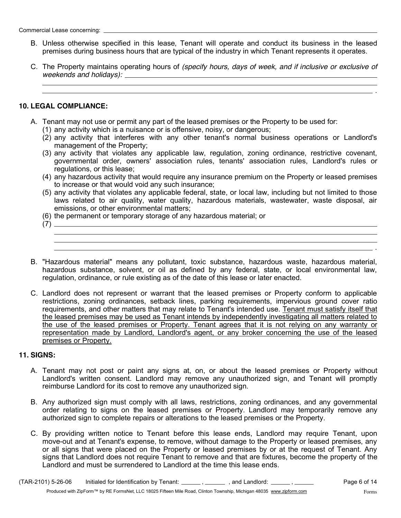- B. Unless otherwise specified in this lease, Tenant will operate and conduct its business in the leased premises during business hours that are typical of the industry in which Tenant represents it operates.
- C. The Property maintains operating hours of *(specify hours, days of week, and if inclusive or exclusive of weekends and holidays):*

#### **10. LEGAL COMPLIANCE:**

- A. Tenant may not use or permit any part of the leased premises or the Property to be used for:
	- (1) any activity which is a nuisance or is offensive, noisy, or dangerous;
	- (2) any activity that interferes with any other tenant's normal business operations or Landlord's management of the Property;
	- (3) any activity that violates any applicable law, regulation, zoning ordinance, restrictive covenant, governmental order, owners' association rules, tenants' association rules, Landlord's rules or regulations, or this lease;
	- (4) any hazardous activity that would require any insurance premium on the Property or leased premises to increase or that would void any such insurance;
	- (5) any activity that violates any applicable federal, state, or local law, including but not limited to those laws related to air quality, water quality, hazardous materials, wastewater, waste disposal, air emissions, or other environmental matters;
	- (6) the permanent or temporary storage of any hazardous material; or
	- (7)
- B. "Hazardous material" means any pollutant, toxic substance, hazardous waste, hazardous material, hazardous substance, solvent, or oil as defined by any federal, state, or local environmental law, regulation, ordinance, or rule existing as of the date of this lease or later enacted.
- C. Landlord does not represent or warrant that the leased premises or Property conform to applicable restrictions, zoning ordinances, setback lines, parking requirements, impervious ground cover ratio requirements, and other matters that may relate to Tenant's intended use. Tenant must satisfy itself that the leased premises may be used as Tenant intends by independently investigating all matters related to the use of the leased premises or Property. Tenant agrees that it is not relying on any warranty or representation made by Landlord, Landlord's agent, or any broker concerning the use of the leased premises or Property.

#### **11. SIGNS:**

- A. Tenant may not post or paint any signs at, on, or about the leased premises or Property without Landlord's written consent. Landlord may remove any unauthorized sign, and Tenant will promptly reimburse Landlord for its cost to remove any unauthorized sign.
- B. Any authorized sign must comply with all laws, restrictions, zoning ordinances, and any governmental order relating to signs on the leased premises or Property. Landlord may temporarily remove any authorized sign to complete repairs or alterations to the leased premises or the Property.
- C. By providing written notice to Tenant before this lease ends, Landlord may require Tenant, upon move-out and at Tenant's expense, to remove, without damage to the Property or leased premises, any or all signs that were placed on the Property or leased premises by or at the request of Tenant. Any signs that Landlord does not require Tenant to remove and that are fixtures, become the property of the Landlord and must be surrendered to Landlord at the time this lease ends.

.

.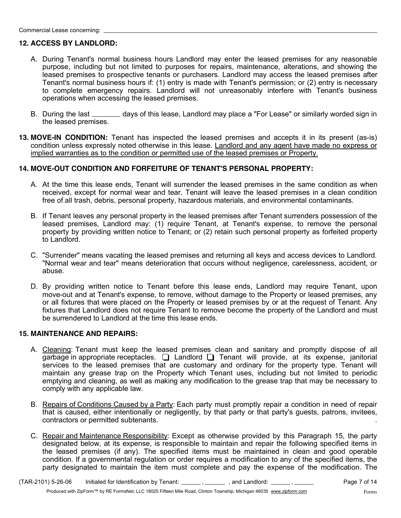## **12. ACCESS BY LANDLORD:**

- A. During Tenant's normal business hours Landlord may enter the leased premises for any reasonable purpose, including but not limited to purposes for repairs, maintenance, alterations, and showing the leased premises to prospective tenants or purchasers. Landlord may access the leased premises after Tenant's normal business hours if: (1) entry is made with Tenant's permission; or (2) entry is necessary to complete emergency repairs. Landlord will not unreasonably interfere with Tenant's business operations when accessing the leased premises.
- B. During the last \_\_\_\_\_\_\_ days of this lease, Landlord may place a "For Lease" or similarly worded sign in the leased premises.
- **13. MOVE-IN CONDITION:** Tenant has inspected the leased premises and accepts it in its present (as-is) condition unless expressly noted otherwise in this lease. Landlord and any agent have made no express or implied warranties as to the condition or permitted use of the leased premises or Property.

## **14. MOVE-OUT CONDITION AND FORFEITURE OF TENANT'S PERSONAL PROPERTY:**

- A. At the time this lease ends, Tenant will surrender the leased premises in the same condition as when received, except for normal wear and tear. Tenant will leave the leased premises in a clean condition free of all trash, debris, personal property, hazardous materials, and environmental contaminants.
- B. If Tenant leaves any personal property in the leased premises after Tenant surrenders possession of the leased premises, Landlord may: (1) require Tenant, at Tenant's expense, to remove the personal property by providing written notice to Tenant; or (2) retain such personal property as forfeited property to Landlord.
- C. "Surrender" means vacating the leased premises and returning all keys and access devices to Landlord. "Normal wear and tear" means deterioration that occurs without negligence, carelessness, accident, or abuse.
- D. By providing written notice to Tenant before this lease ends, Landlord may require Tenant, upon move-out and at Tenant's expense, to remove, without damage to the Property or leased premises, any or all fixtures that were placed on the Property or leased premises by or at the request of Tenant. Any fixtures that Landlord does not require Tenant to remove become the property of the Landlord and must be surrendered to Landlord at the time this lease ends.

## **15. MAINTENANCE AND REPAIRS:**

- A. Cleaning: Tenant must keep the leased premises clean and sanitary and promptly dispose of all  $\overline{q}$ arbage in appropriate receptacles.  $\Box$  Landlord  $\Box$  Tenant will provide, at its expense, janitorial services to the leased premises that are customary and ordinary for the property type. Tenant will maintain any grease trap on the Property which Tenant uses, including but not limited to periodic emptying and cleaning, as well as making any modification to the grease trap that may be necessary to comply with any applicable law.
- B. Repairs of Conditions Caused by a Party: Each party must promptly repair a condition in need of repair that is caused, either intentionally or negligently, by that party or that party's guests, patrons, invitees, contractors or permitted subtenants. .
- C. Repair and Maintenance Responsibility: Except as otherwise provided by this Paragraph 15, the party designated below, at its expense, is responsible to maintain and repair the following specified items in the leased premises (if any). The specified items must be maintained in clean and good operable condition. If a governmental regulation or order reguires a modification to any of the specified items, the party designated to maintain the item must complete and pay the expense of the modification. The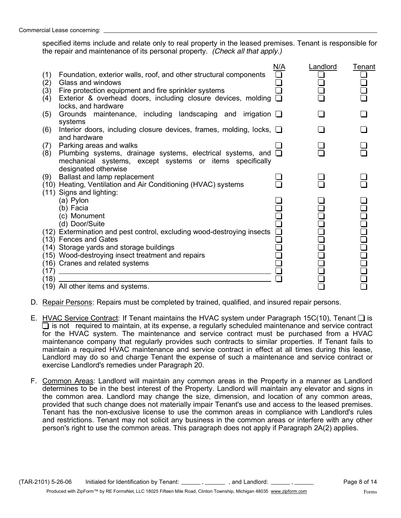specified items include and relate only to real property in the leased premises. Tenant is responsible for the repair and maintenance of its personal property. *(Check all that apply.)*

| (1)<br>(2)<br>(3)<br>(4) | Foundation, exterior walls, roof, and other structural components<br>Glass and windows<br>Fire protection equipment and fire sprinkler systems<br>Exterior & overhead doors, including closure devices, molding $\Box$ | N/A | Landlord | Tenant |
|--------------------------|------------------------------------------------------------------------------------------------------------------------------------------------------------------------------------------------------------------------|-----|----------|--------|
| (5)                      | locks, and hardware<br>Grounds maintenance, including landscaping and irrigation $\Box$<br>systems                                                                                                                     |     |          |        |
| (6)                      | Interior doors, including closure devices, frames, molding, locks, $\Box$<br>and hardware                                                                                                                              |     |          |        |
| (7)<br>(8)               | Parking areas and walks<br>Plumbing systems, drainage systems, electrical systems, and<br>mechanical systems, except systems or items specifically<br>designated otherwise                                             |     |          |        |
| (9)                      | Ballast and lamp replacement<br>(10) Heating, Ventilation and Air Conditioning (HVAC) systems<br>(11) Signs and lighting:                                                                                              |     |          |        |
|                          | (a) Pylon<br>(b) Facia<br>(c) Monument<br>(d) Door/Suite<br>(12) Extermination and pest control, excluding wood-destroying insects<br>(13) Fences and Gates                                                            |     |          |        |
| (17)<br>(18              | (14) Storage yards and storage buildings<br>(15) Wood-destroying insect treatment and repairs<br>(16) Cranes and related systems<br><u> 1989 - Andrea Andrew Maria (h. 1989).</u><br>(19) All other items and systems. |     |          |        |

- D. Repair Persons: Repairs must be completed by trained, qualified, and insured repair persons.
- E. HVAC Service Contract: If Tenant maintains the HVAC system under Paragraph 15C(10), Tenant  $\Box$  is for the HVAC system. The maintenance and service contract must be purchased from a HVAC maintenance company that regularly provides such contracts to similar properties. If Tenant fails to maintain a required HVAC maintenance and service contract in effect at all times during this lease, Landlord may do so and charge Tenant the expense of such a maintenance and service contract or exercise Landlord's remedies under Paragraph 20.  $\Box$  is not required to maintain, at its expense, a requiarly scheduled maintenance and service contract
- F. Common Areas: Landlord will maintain any common areas in the Property in a manner as Landlord determines to be in the best interest of the Property. Landlord will maintain any elevator and signs in the common area. Landlord may change the size, dimension, and location of any common areas, provided that such change does not materially impair Tenant's use and access to the leased premises. Tenant has the non-exclusive license to use the common areas in compliance with Landlord's rules and restrictions. Tenant may not solicit any business in the common areas or interfere with any other person's right to use the common areas. This paragraph does not apply if Paragraph 2A(2) applies.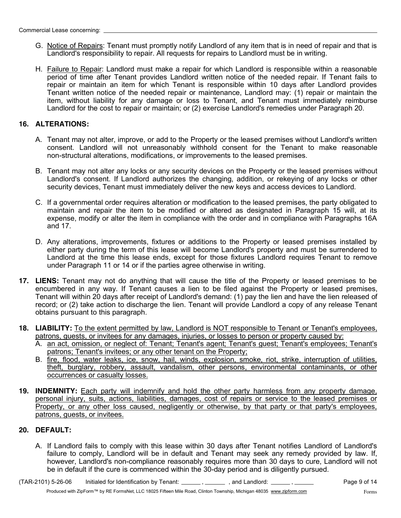- G. Notice of Repairs: Tenant must promptly notify Landlord of any item that is in need of repair and that is Landlord's responsibility to repair. All requests for repairs to Landlord must be in writing.
- H. Failure to Repair: Landlord must make a repair for which Landlord is responsible within a reasonable period of time after Tenant provides Landlord written notice of the needed repair. If Tenant fails to repair or maintain an item for which Tenant is responsible within 10 days after Landlord provides Tenant written notice of the needed repair or maintenance, Landlord may: (1) repair or maintain the item, without liability for any damage or loss to Tenant, and Tenant must immediately reimburse Landlord for the cost to repair or maintain; or (2) exercise Landlord's remedies under Paragraph 20.

## **16. ALTERATIONS:**

- A. Tenant may not alter, improve, or add to the Property or the leased premises without Landlord's written consent. Landlord will not unreasonably withhold consent for the Tenant to make reasonable non-structural alterations, modifications, or improvements to the leased premises.
- B. Tenant may not alter any locks or any security devices on the Property or the leased premises without Landlord's consent. If Landlord authorizes the changing, addition, or rekeying of any locks or other security devices, Tenant must immediately deliver the new keys and access devices to Landlord.
- C. If a governmental order requires alteration or modification to the leased premises, the party obligated to maintain and repair the item to be modified or altered as designated in Paragraph 15 will, at its expense, modify or alter the item in compliance with the order and in compliance with Paragraphs 16A and 17.
- D. Any alterations, improvements, fixtures or additions to the Property or leased premises installed by either party during the term of this lease will become Landlord's property and must be surrendered to Landlord at the time this lease ends, except for those fixtures Landlord requires Tenant to remove under Paragraph 11 or 14 or if the parties agree otherwise in writing.
- **17. LIENS:** Tenant may not do anything that will cause the title of the Property or leased premises to be encumbered in any way. If Tenant causes a lien to be filed against the Property or leased premises, Tenant will within 20 days after receipt of Landlord's demand: (1) pay the lien and have the lien released of record; or (2) take action to discharge the lien. Tenant will provide Landlord a copy of any release Tenant obtains pursuant to this paragraph.
- **18. LIABILITY:** To the extent permitted by law, Landlord is NOT responsible to Tenant or Tenant's employees, patrons, guests, or invitees for any damages, injuries, or losses to person or property caused by:
	- A. an act, omission, or neglect of: Tenant; Tenant's agent; Tenant's guest; Tenant's employees; Tenant's patrons; Tenant's invitees; or any other tenant on the Property;
	- B. fire, flood, water leaks, ice, snow, hail, winds, explosion, smoke, riot, strike, interruption of utilities, theft, burglary, robbery, assault, vandalism, other persons, environmental contaminants, or other occurrences or casualty losses.
- **19. INDEMNITY:** Each party will indemnify and hold the other party harmless from any property damage, personal injury, suits, actions, liabilities, damages, cost of repairs or service to the leased premises or Property, or any other loss caused, negligently or otherwise, by that party or that party's employees, patrons, guests, or invitees.

#### **20. DEFAULT:**

A. If Landlord fails to comply with this lease within 30 days after Tenant notifies Landlord of Landlord's failure to comply, Landlord will be in default and Tenant may seek any remedy provided by law. If, however, Landlord's non-compliance reasonably requires more than 30 days to cure, Landlord will not be in default if the cure is commenced within the 30-day period and is diligently pursued.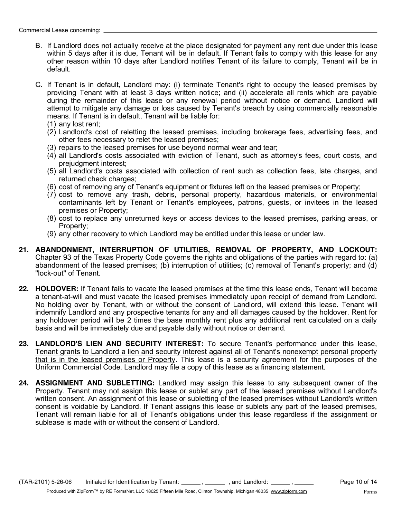- B. If Landlord does not actually receive at the place designated for payment any rent due under this lease within 5 days after it is due, Tenant will be in default. If Tenant fails to comply with this lease for any other reason within 10 days after Landlord notifies Tenant of its failure to comply, Tenant will be in default.
- C. If Tenant is in default, Landlord may: (i) terminate Tenant's right to occupy the leased premises by providing Tenant with at least 3 days written notice; and (ii) accelerate all rents which are payable during the remainder of this lease or any renewal period without notice or demand. Landlord will attempt to mitigate any damage or loss caused by Tenant's breach by using commercially reasonable means. If Tenant is in default, Tenant will be liable for:
	- (1) any lost rent;
	- (2) Landlord's cost of reletting the leased premises, including brokerage fees, advertising fees, and other fees necessary to relet the leased premises;
	- (3) repairs to the leased premises for use beyond normal wear and tear;
	- (4) all Landlord's costs associated with eviction of Tenant, such as attorney's fees, court costs, and prejudgment interest;
	- (5) all Landlord's costs associated with collection of rent such as collection fees, late charges, and returned check charges;
	- (6) cost of removing any of Tenant's equipment or fixtures left on the leased premises or Property;
	- (7) cost to remove any trash, debris, personal property, hazardous materials, or environmental contaminants left by Tenant or Tenant's employees, patrons, guests, or invitees in the leased premises or Property;
	- (8) cost to replace any unreturned keys or access devices to the leased premises, parking areas, or Property;
	- (9) any other recovery to which Landlord may be entitled under this lease or under law.
- **21. ABANDONMENT, INTERRUPTION OF UTILITIES, REMOVAL OF PROPERTY, AND LOCKOUT:** Chapter 93 of the Texas Property Code governs the rights and obligations of the parties with regard to: (a) abandonment of the leased premises; (b) interruption of utilities; (c) removal of Tenant's property; and (d) ''lock-out'' of Tenant.
- **22. HOLDOVER:** If Tenant fails to vacate the leased premises at the time this lease ends, Tenant will become a tenant-at-will and must vacate the leased premises immediately upon receipt of demand from Landlord. No holding over by Tenant, with or without the consent of Landlord, will extend this lease. Tenant will indemnify Landlord and any prospective tenants for any and all damages caused by the holdover. Rent for any holdover period will be 2 times the base monthly rent plus any additional rent calculated on a daily basis and will be immediately due and payable daily without notice or demand.
- **23. LANDLORD'S LIEN AND SECURITY INTEREST:** To secure Tenant's performance under this lease, Tenant grants to Landlord a lien and security interest against all of Tenant's nonexempt personal property that is in the leased premises or Property. This lease is a security agreement for the purposes of the Uniform Commercial Code. Landlord may file a copy of this lease as a financing statement.
- **24. ASSIGNMENT AND SUBLETTING:** Landlord may assign this lease to any subsequent owner of the Property. Tenant may not assign this lease or sublet any part of the leased premises without Landlord's written consent. An assignment of this lease or subletting of the leased premises without Landlord's written consent is voidable by Landlord. If Tenant assigns this lease or sublets any part of the leased premises, Tenant will remain liable for all of Tenant's obligations under this lease regardless if the assignment or sublease is made with or without the consent of Landlord.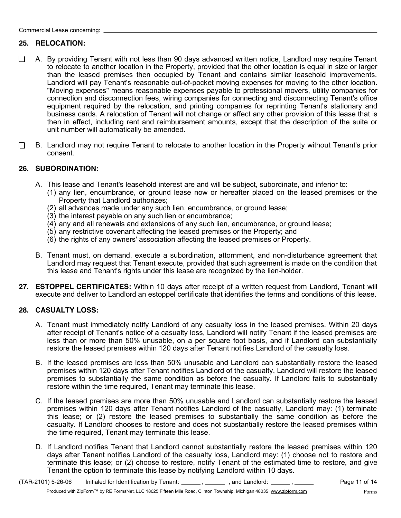## **25. RELOCATION:**

- A. By providing Tenant with not less than 90 days advanced written notice, Landlord may require Tenant  $\Box$ to relocate to another location in the Property, provided that the other location is equal in size or larger than the leased premises then occupied by Tenant and contains similar leasehold improvements. Landlord will pay Tenant's reasonable out-of-pocket moving expenses for moving to the other location. "Moving expenses" means reasonable expenses payable to professional movers, utility companies for connection and disconnection fees, wiring companies for connecting and disconnecting Tenant's office equipment required by the relocation, and printing companies for reprinting Tenant's stationary and business cards. A relocation of Tenant will not change or affect any other provision of this lease that is then in effect, including rent and reimbursement amounts, except that the description of the suite or unit number will automatically be amended.
- B. Landlord may not require Tenant to relocate to another location in the Property without Tenant's prior  $\Box$ consent.

### **26. SUBORDINATION:**

- A. This lease and Tenant's leasehold interest are and will be subject, subordinate, and inferior to:
	- (1) any lien, encumbrance, or ground lease now or hereafter placed on the leased premises or the Property that Landlord authorizes;
	- (2) all advances made under any such lien, encumbrance, or ground lease;
	- (3) the interest payable on any such lien or encumbrance;
	- (4) any and all renewals and extensions of any such lien, encumbrance, or ground lease;
	- (5) any restrictive covenant affecting the leased premises or the Property; and
	- (6) the rights of any owners' association affecting the leased premises or Property.
- B. Tenant must, on demand, execute a subordination, attornment, and non-disturbance agreement that Landlord may request that Tenant execute, provided that such agreement is made on the condition that this lease and Tenant's rights under this lease are recognized by the lien-holder.
- **27. ESTOPPEL CERTIFICATES:** Within 10 days after receipt of a written request from Landlord, Tenant will execute and deliver to Landlord an estoppel certificate that identifies the terms and conditions of this lease.

## **28. CASUALTY LOSS:**

- A. Tenant must immediately notify Landlord of any casualty loss in the leased premises. Within 20 days after receipt of Tenant's notice of a casualty loss, Landlord will notify Tenant if the leased premises are less than or more than 50% unusable, on a per square foot basis, and if Landlord can substantially restore the leased premises within 120 days after Tenant notifies Landlord of the casualty loss.
- B. If the leased premises are less than 50% unusable and Landlord can substantially restore the leased premises within 120 days after Tenant notifies Landlord of the casualty, Landlord will restore the leased premises to substantially the same condition as before the casualty. If Landlord fails to substantially restore within the time required, Tenant may terminate this lease.
- C. If the leased premises are more than 50% unusable and Landlord can substantially restore the leased premises within 120 days after Tenant notifies Landlord of the casualty, Landlord may: (1) terminate this lease; or (2) restore the leased premises to substantially the same condition as before the casualty. If Landlord chooses to restore and does not substantially restore the leased premises within the time required, Tenant may terminate this lease.
- D. If Landlord notifies Tenant that Landlord cannot substantially restore the leased premises within 120 days after Tenant notifies Landlord of the casualty loss, Landlord may: (1) choose not to restore and terminate this lease; or (2) choose to restore, notify Tenant of the estimated time to restore, and give Tenant the option to terminate this lease by notifying Landlord within 10 days.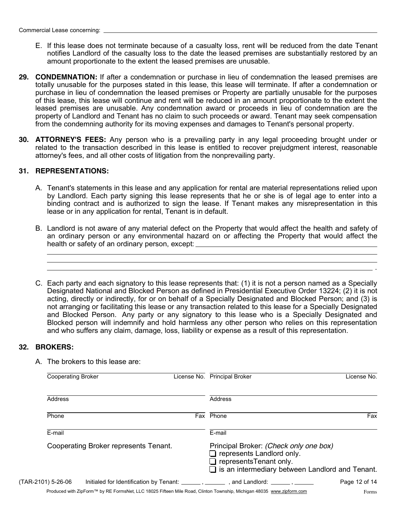- E. If this lease does not terminate because of a casualty loss, rent will be reduced from the date Tenant notifies Landlord of the casualty loss to the date the leased premises are substantially restored by an amount proportionate to the extent the leased premises are unusable.
- **29. CONDEMNATION:** If after a condemnation or purchase in lieu of condemnation the leased premises are totally unusable for the purposes stated in this lease, this lease will terminate. If after a condemnation or purchase in lieu of condemnation the leased premises or Property are partially unusable for the purposes of this lease, this lease will continue and rent will be reduced in an amount proportionate to the extent the leased premises are unusable. Any condemnation award or proceeds in lieu of condemnation are the property of Landlord and Tenant has no claim to such proceeds or award. Tenant may seek compensation from the condemning authority for its moving expenses and damages to Tenant's personal property.
- **30. ATTORNEY'S FEES:** Any person who is a prevailing party in any legal proceeding brought under or related to the transaction described in this lease is entitled to recover prejudgment interest, reasonable attorney's fees, and all other costs of litigation from the nonprevailing party.

#### **31. REPRESENTATIONS:**

- Tenant's statements in this lease and any application for rental are material representations relied upon A. by Landlord. Each party signing this lease represents that he or she is of legal age to enter into a binding contract and is authorized to sign the lease. If Tenant makes any misrepresentation in this lease or in any application for rental, Tenant is in default.
- B. Landlord is not aware of any material defect on the Property that would affect the health and safety of an ordinary person or any environmental hazard on or affecting the Property that would affect the health or safety of an ordinary person, except: \_\_\_\_\_\_\_\_\_\_\_\_\_\_\_\_\_\_\_\_\_\_\_\_\_\_\_\_\_\_\_\_

.

C. Each party and each signatory to this lease represents that: (1) it is not a person named as a Specially Designated National and Blocked Person as defined in Presidential Executive Order 13224; (2) it is not acting, directly or indirectly, for or on behalf of a Specially Designated and Blocked Person; and (3) is not arranging or facilitating this lease or any transaction related to this lease for a Specially Designated and Blocked Person. Any party or any signatory to this lease who is a Specially Designated and Blocked person will indemnify and hold harmless any other person who relies on this representation and who suffers any claim, damage, loss, liability or expense as a result of this representation.

#### **32. BROKERS:**

A. The brokers to this lease are:

| <b>Cooperating Broker</b>                                                                                            | License No. Principal Broker                                                                                                                                           | License No.   |
|----------------------------------------------------------------------------------------------------------------------|------------------------------------------------------------------------------------------------------------------------------------------------------------------------|---------------|
| Address                                                                                                              | Address                                                                                                                                                                |               |
| Phone                                                                                                                | Fax Phone                                                                                                                                                              | Fax           |
| E-mail                                                                                                               | E-mail                                                                                                                                                                 |               |
| Cooperating Broker represents Tenant.                                                                                | Principal Broker: (Check only one box)<br>$\Box$ represents Landlord only.<br>$\Box$ represents Tenant only.<br>$\Box$ is an intermediary between Landlord and Tenant. |               |
| (TAR-2101) 5-26-06                                                                                                   | Initialed for Identification by Tenant: __________, ___________, and Landlord: _______, ________                                                                       | Page 12 of 14 |
| Produced with ZipForm™ by RE FormsNet, LLC 18025 Fifteen Mile Road, Clinton Township, Michigan 48035 www.zipform.com |                                                                                                                                                                        | <b>Forms</b>  |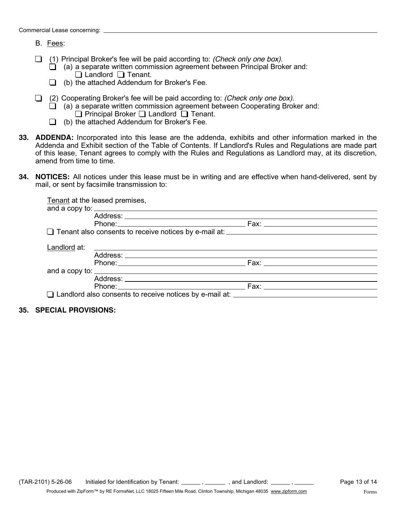- B. Fees:
- (1) Principal Broker's fee will be paid according to: *(Check only one box).*
	- $\Box$  (a) a separate written commission agreement between Principal Broker and:  $\Box$  Landlord  $\Box$  Tenant.
	- $\Box$  (b) the attached Addendum for Broker's Fee.
- (2) Cooperating Broker's fee will be paid according to: *(Check only one box).*
	- $\Box$  (a) a separate written commission agreement between Cooperating Broker and: Principal Broker □ Landlord □ Tenant.
	- $\Box$  (b) the attached Addendum for Broker's Fee.
- **33. ADDENDA:** Incorporated into this lease are the addenda, exhibits and other information marked in the Addenda and Exhibit section of the Table of Contents. If Landlord's Rules and Regulations are made part of this lease, Tenant agrees to comply with the Rules and Regulations as Landlord may, at its discretion, amend from time to time.
- 34. NOTICES: All notices under this lease must be in writing and are effective when hand-delivered, sent by mail, or sent by facsimile transmission to:

## **35. SPECIAL PROVISIONS:**